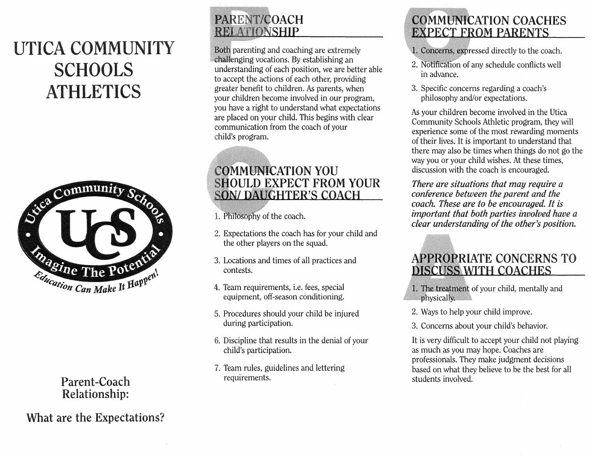# UTICA COMMUNITY **SCHOOLS ATHLETICS**



Parent-Coach<br>Relationship:

**What are the Expectations?** 

## PARENT/COACH **RELATIONSHIP**

Both parenting and coaching are extremely challenging vocations. By establishing an understanding of each position, we are better able to accept the actions of each other, providing greater benefit to children. As parents, when your children become involved in our program, you have a right to understand what expectations are placed on your child. This begins with dear communication from the coach of your child's program.

## **COMMUNICATION YOU SHOULD EXPECT FROM YOUR SON/DAUGHTER'S COACH**

- 1. Philosophy of the coach.
- Expectations the coach has for your child and the other players on the squad.
- 3. Locations and times of all practices and contests.
- 4. Team requirements, i.e. fees, special equipment, off-season conditioning.
- 5. Procedures should your child be injured during participation.
- 6. Discipline that results in the denial of your child's participation.
- 7. Team rules, guidelines and lettering requirements.

## **COMMUNICATION COACHES EXPECT FROM PARENTS**

- 1. Concerns, expressed directly to the coach.
- 2. Notification of any schedule conflicts well in advance
- 3. Specific concerns regarding a coach's philosophy and/or expectations.

As your children become involved in the Utica Community Schools Athletic program, they will experience some of the most rewarding moments of their lives. It is important to understand that there may also be times when things do not go the way you or your child wishes. At these times, discussion with the coach is encouraged.

*There are situations that may require a conference between the parent and the coach.Theseare to encouraged. is important that both parties involved have a clear understanding of the other's position.* 

## **APPROPRIATE CONCERNS TO DISCUSS WITH COACHES**

1. The treatment of your child, mentally and physically.

- 2. Ways to help your child improve.
- 3. Concerns about your child's behavior.

It is very difficult to accept your child not playing as much as you may hope. Coaches are professionals. They make judgment decisions based on what they believe to be the best for all students involved.